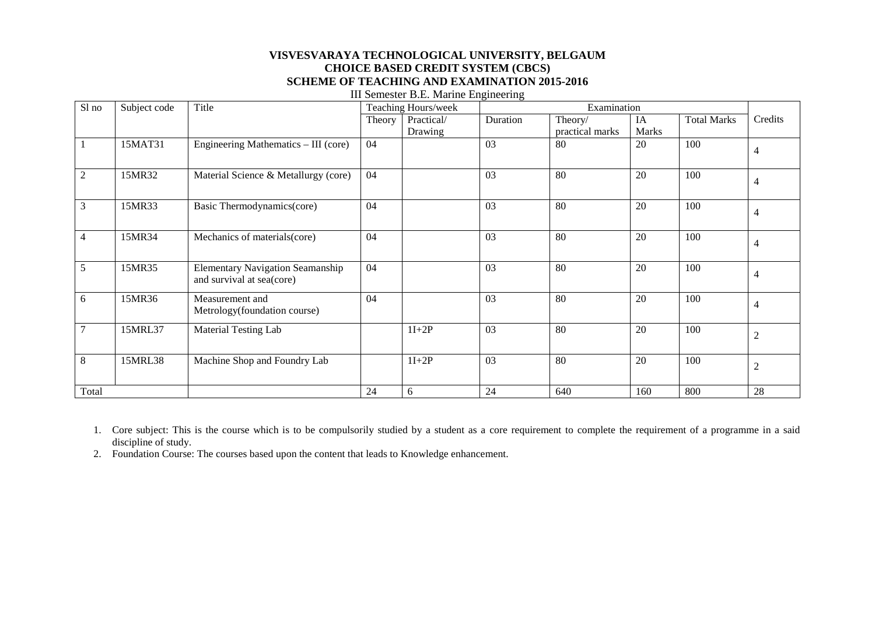#### **VISVESVARAYA TECHNOLOGICAL UNIVERSITY, BELGAUM CHOICE BASED CREDIT SYSTEM (CBCS) SCHEME OF TEACHING AND EXAMINATION 2015-2016** III Semester B.E. Marine Engineering

| Sl no           | Subject code | Title                                                                | Teaching Hours/week |            | Examination |                 |              |                    |                |
|-----------------|--------------|----------------------------------------------------------------------|---------------------|------------|-------------|-----------------|--------------|--------------------|----------------|
|                 |              |                                                                      | Theory              | Practical/ | Duration    | Theory/         | IA           | <b>Total Marks</b> | Credits        |
|                 |              |                                                                      |                     | Drawing    |             | practical marks | <b>Marks</b> |                    |                |
|                 | 15MAT31      | Engineering Mathematics - III (core)                                 | 04                  |            | 03          | 80              | 20           | 100                | $\overline{4}$ |
| $\mathbf{2}$    | 15MR32       | Material Science & Metallurgy (core)                                 | 04                  |            | 03          | 80              | 20           | 100                | $\overline{4}$ |
| 3               | 15MR33       | Basic Thermodynamics(core)                                           | 04                  |            | 03          | 80              | 20           | 100                | $\overline{4}$ |
| $\overline{4}$  | 15MR34       | Mechanics of materials(core)                                         | 04                  |            | 03          | 80              | 20           | 100                | $\overline{4}$ |
| 5               | 15MR35       | <b>Elementary Navigation Seamanship</b><br>and survival at sea(core) | 04                  |            | 03          | 80              | 20           | 100                | $\overline{4}$ |
| 6               | 15MR36       | Measurement and<br>Metrology(foundation course)                      | 04                  |            | 03          | 80              | 20           | 100                | $\overline{4}$ |
| $7\phantom{.0}$ | 15MRL37      | Material Testing Lab                                                 |                     | $1I+2P$    | 03          | 80              | 20           | 100                | $\overline{2}$ |
| 8               | 15MRL38      | Machine Shop and Foundry Lab                                         |                     | $1I+2P$    | 03          | 80              | 20           | 100                | $\overline{2}$ |
| Total           |              |                                                                      | 24                  | 6          | 24          | 640             | 160          | 800                | 28             |

1. Core subject: This is the course which is to be compulsorily studied by a student as a core requirement to complete the requirement of a programme in a said discipline of study.

2. Foundation Course: The courses based upon the content that leads to Knowledge enhancement.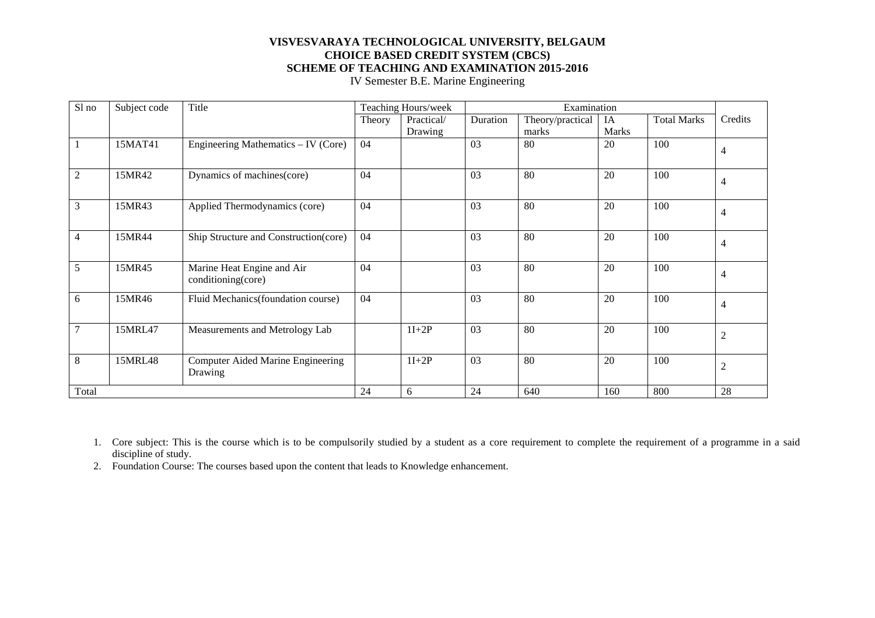IV Semester B.E. Marine Engineering

| Sl no | Subject code | Title                                            |        | Teaching Hours/week | Examination |                  |              |                    |                |
|-------|--------------|--------------------------------------------------|--------|---------------------|-------------|------------------|--------------|--------------------|----------------|
|       |              |                                                  | Theory | Practical/          | Duration    | Theory/practical | IA           | <b>Total Marks</b> | Credits        |
|       |              |                                                  |        | Drawing             |             | marks            | <b>Marks</b> |                    |                |
|       | 15MAT41      | Engineering Mathematics – IV (Core)              | 04     |                     | 03          | 80               | 20           | 100                | 4              |
| 2     | 15MR42       | Dynamics of machines(core)                       | 04     |                     | 03          | 80               | 20           | 100                | 4              |
| 3     | 15MR43       | Applied Thermodynamics (core)                    | 04     |                     | 03          | 80               | 20           | 100                | 4              |
| 4     | 15MR44       | Ship Structure and Construction(core)            | 04     |                     | 03          | 80               | 20           | 100                | $\overline{4}$ |
| 5     | 15MR45       | Marine Heat Engine and Air<br>conditioning(core) | 04     |                     | 03          | 80               | 20           | 100                | $\overline{4}$ |
| 6     | 15MR46       | Fluid Mechanics (foundation course)              | 04     |                     | 03          | 80               | 20           | 100                | 4              |
| 7     | 15MRL47      | Measurements and Metrology Lab                   |        | $1I+2P$             | 03          | 80               | 20           | 100                | $\mathfrak 2$  |
| 8     | 15MRL48      | Computer Aided Marine Engineering<br>Drawing     |        | $1I+2P$             | 03          | 80               | 20           | 100                | $\mathfrak 2$  |
| Total |              |                                                  | 24     | 6                   | 24          | 640              | 160          | 800                | 28             |

1. Core subject: This is the course which is to be compulsorily studied by a student as a core requirement to complete the requirement of a programme in a said discipline of study.

2. Foundation Course: The courses based upon the content that leads to Knowledge enhancement.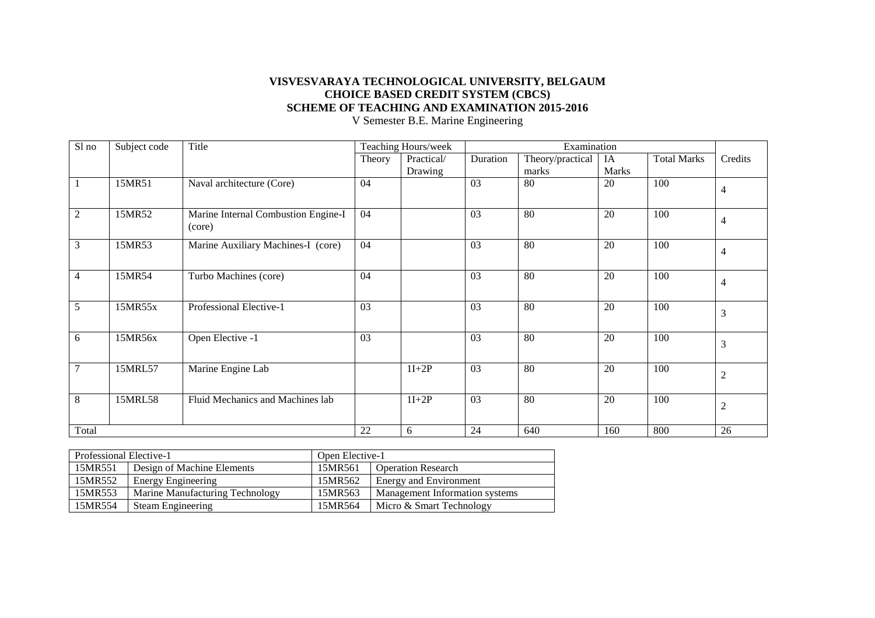Sl no Subject code Title Title Teaching Hours/week Examination Theory Practical/ Duration Theory/practical IA Total Marks Credits Drawing marks Marks Total Marks 1 15MR51 Naval architecture (Core) 04 03 80 20 100 4 2 15MR52 Marine Internal Combustion Engine-I (core) 04 03 80 20 100 4 3 15MR53 Marine Auxiliary Machines-I (core) 04 03 80 20 100 4 4 | 15MR54 | Turbo Machines (core)  $\begin{vmatrix} 04 & 03 & 80 \\ 4 & 0 & 20 \end{vmatrix}$   $\begin{vmatrix} 20 & 100 \\ 4 & 40 \end{vmatrix}$ 5 15MR55x Professional Elective-1 03 03 80 20 100 3 6 | 15MR56x | Open Elective -1 |  $\begin{vmatrix} 03 \\ 13 \end{vmatrix}$  |  $\begin{vmatrix} 03 \\ 3 \end{vmatrix}$  |  $\begin{vmatrix} 03 \\ 03 \end{vmatrix}$  |  $\begin{vmatrix} 80 \\ 80 \end{vmatrix}$  |  $\begin{vmatrix} 20 \\ 100 \end{vmatrix}$  |  $\begin{vmatrix} 100 \\ 3 \end{vmatrix}$ 7 | 15MRL57 | Marine Engine Lab | 11+2P | 03 | 80 | 20 | 100 | 2 8 15MRL58 Fluid Mechanics and Machines lab 11+2P 03 80 20 100 2 Total 28 22 6 24 640 160 800 26

V Semester B.E. Marine Engineering

| Professional Elective-1              |                                 | Open Elective-1 |                                |  |  |
|--------------------------------------|---------------------------------|-----------------|--------------------------------|--|--|
| 15MR551                              | Design of Machine Elements      | 15MR561         | <b>Operation Research</b>      |  |  |
| 15MR552<br><b>Energy Engineering</b> |                                 | 15MR562         | Energy and Environment         |  |  |
| 15MR553                              | Marine Manufacturing Technology | 15MR563         | Management Information systems |  |  |
| 15MR554<br>Steam Engineering         |                                 | 15MR564         | Micro & Smart Technology       |  |  |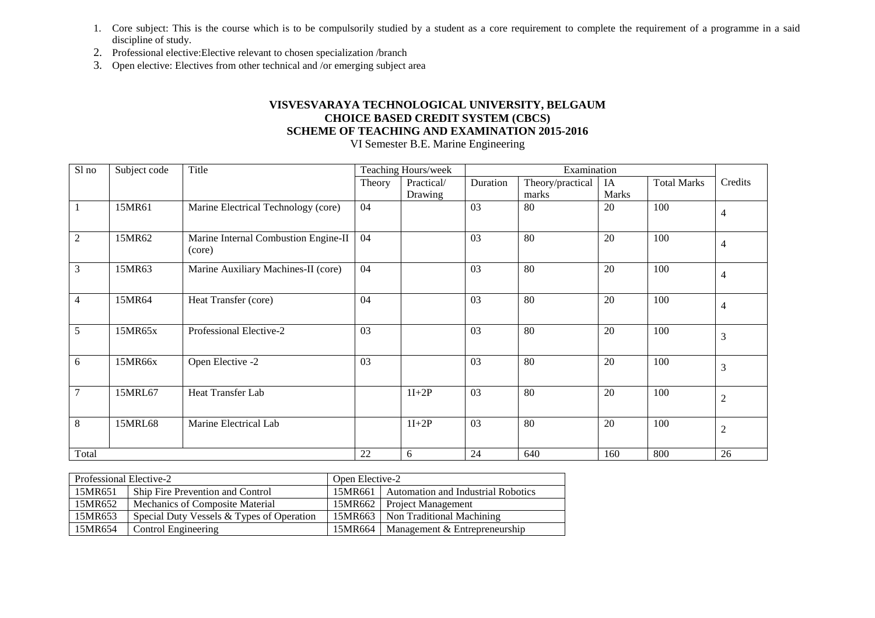- 1. Core subject: This is the course which is to be compulsorily studied by a student as a core requirement to complete the requirement of a programme in a said discipline of study.
- 2. Professional elective:Elective relevant to chosen specialization /branch
- 3. Open elective: Electives from other technical and /or emerging subject area

VI Semester B.E. Marine Engineering

| Sl no          | Subject code | Title                                          |        | Teaching Hours/week | Examination     |                  |       |                    |                |
|----------------|--------------|------------------------------------------------|--------|---------------------|-----------------|------------------|-------|--------------------|----------------|
|                |              |                                                | Theory | Practical/          | Duration        | Theory/practical | IA    | <b>Total Marks</b> | Credits        |
|                |              |                                                |        | Drawing             |                 | marks            | Marks |                    |                |
|                | 15MR61       | Marine Electrical Technology (core)            | 04     |                     | 03              | 80               | 20    | 100                | $\overline{4}$ |
| $\overline{2}$ | 15MR62       | Marine Internal Combustion Engine-II<br>(core) | 04     |                     | 03              | 80               | 20    | 100                | $\overline{4}$ |
| $\mathfrak{Z}$ | 15MR63       | Marine Auxiliary Machines-II (core)            | 04     |                     | $\overline{03}$ | $\overline{80}$  | 20    | 100                | $\overline{4}$ |
| $\overline{4}$ | 15MR64       | Heat Transfer (core)                           | 04     |                     | 03              | 80               | 20    | 100                | $\overline{4}$ |
| 5              | 15MR65x      | Professional Elective-2                        | 03     |                     | 03              | 80               | 20    | 100                | $\overline{3}$ |
| 6              | 15MR66x      | Open Elective -2                               | 03     |                     | 03              | 80               | 20    | 100                | $\overline{3}$ |
| 7              | 15MRL67      | Heat Transfer Lab                              |        | $1I+2P$             | 03              | 80               | 20    | 100                | $\overline{2}$ |
| 8              | 15MRL68      | Marine Electrical Lab                          |        | $1I+2P$             | 03              | 80               | 20    | 100                | 2              |
| Total          |              |                                                | 22     | 6                   | 24              | 640              | 160   | 800                | 26             |

| Professional Elective-2 |                                           | Open Elective-2 |                                              |  |
|-------------------------|-------------------------------------------|-----------------|----------------------------------------------|--|
| 15MR651                 | Ship Fire Prevention and Control          |                 | 15MR661   Automation and Industrial Robotics |  |
| 15MR652                 | Mechanics of Composite Material           |                 | 15MR662 Project Management                   |  |
| 15MR653                 | Special Duty Vessels & Types of Operation |                 | 15MR663   Non Traditional Machining          |  |
| 15MR654                 | Control Engineering                       |                 | 15MR664   Management & Entrepreneurship      |  |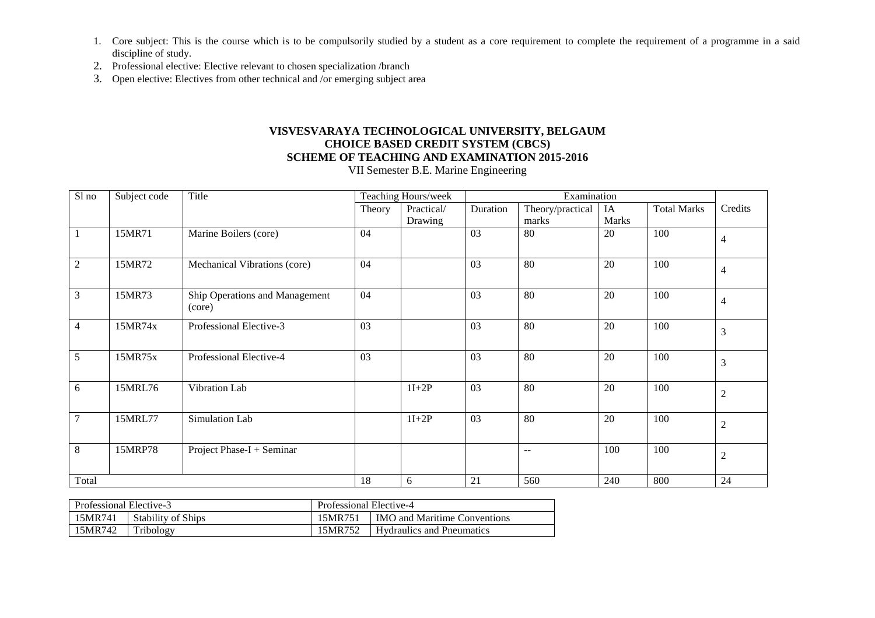- 1. Core subject: This is the course which is to be compulsorily studied by a student as a core requirement to complete the requirement of a programme in a said discipline of study.
- 2. Professional elective: Elective relevant to chosen specialization /branch
- 3. Open elective: Electives from other technical and /or emerging subject area

VII Semester B.E. Marine Engineering

| $S1$ no         | Subject code | Title                                    | Teaching Hours/week |            | Examination |                  |       |                    |                |
|-----------------|--------------|------------------------------------------|---------------------|------------|-------------|------------------|-------|--------------------|----------------|
|                 |              |                                          | Theory              | Practical/ | Duration    | Theory/practical | IA    | <b>Total Marks</b> | Credits        |
|                 |              |                                          |                     | Drawing    |             | marks            | Marks |                    |                |
| -1              | 15MR71       | Marine Boilers (core)                    | 04                  |            | 03          | 80               | 20    | 100                | $\overline{4}$ |
| $\overline{2}$  | 15MR72       | Mechanical Vibrations (core)             | 04                  |            | 03          | 80               | 20    | 100                | $\overline{4}$ |
| $\mathfrak{Z}$  | 15MR73       | Ship Operations and Management<br>(core) | 04                  |            | 03          | 80               | 20    | 100                | $\overline{4}$ |
| $\overline{4}$  | 15MR74x      | Professional Elective-3                  | $\overline{03}$     |            | 03          | 80               | 20    | 100                | $\mathfrak{Z}$ |
| 5               | 15MR75x      | Professional Elective-4                  | 03                  |            | 03          | 80               | 20    | 100                | 3              |
| 6               | 15MRL76      | Vibration Lab                            |                     | $1I+2P$    | 03          | 80               | 20    | 100                | $\overline{2}$ |
| $7\phantom{.0}$ | 15MRL77      | Simulation Lab                           |                     | $1I+2P$    | 03          | 80               | 20    | 100                | $\overline{2}$ |
| $8\,$           | 15MRP78      | Project Phase-I + Seminar                |                     |            |             | --               | 100   | 100                | $\overline{2}$ |
| Total           |              |                                          | 18                  | $6\,$      | 21          | 560              | 240   | 800                | 24             |

| Professional Elective-3 |                           | Professional Elective-4                        |                                  |  |  |
|-------------------------|---------------------------|------------------------------------------------|----------------------------------|--|--|
| 15MR741                 | <b>Stability of Ships</b> | 15MR751<br><b>IMO</b> and Maritime Conventions |                                  |  |  |
| 15MR742                 | Tribology                 | 15MR752                                        | <b>Hydraulics and Pneumatics</b> |  |  |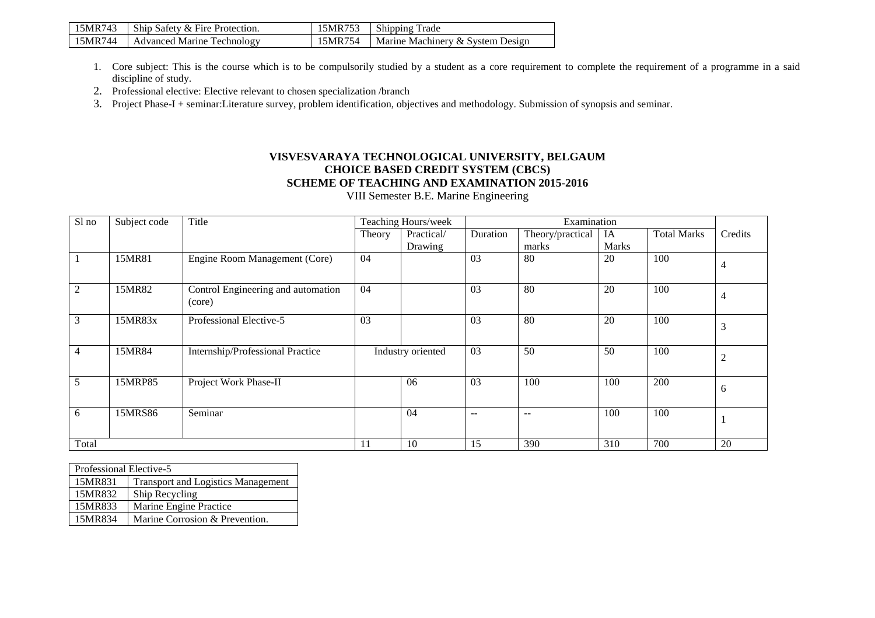| 15MR743 | Ship Safety & Fire Protection. | 15MR753 | Shipping Trade                   |
|---------|--------------------------------|---------|----------------------------------|
| 15MR744 | Advanced Marine Technology     | 15MR754 | Marine Machinery & System Design |

- 1. Core subject: This is the course which is to be compulsorily studied by a student as a core requirement to complete the requirement of a programme in a said discipline of study.
- 2. Professional elective: Elective relevant to chosen specialization /branch
- 3. Project Phase-I + seminar:Literature survey, problem identification, objectives and methodology. Submission of synopsis and seminar.

VIII Semester B.E. Marine Engineering

| Sl no          | Subject code | Title                                        |        | Teaching Hours/week | Examination                           |                   |              |                    |                |
|----------------|--------------|----------------------------------------------|--------|---------------------|---------------------------------------|-------------------|--------------|--------------------|----------------|
|                |              |                                              | Theory | Practical/          | Duration                              | Theory/practical  | IA           | <b>Total Marks</b> | Credits        |
|                |              |                                              |        | Drawing             |                                       | marks             | <b>Marks</b> |                    |                |
|                | 15MR81       | Engine Room Management (Core)                | 04     |                     | 03                                    | 80                | 20           | 100                | $\overline{4}$ |
| 2              | 15MR82       | Control Engineering and automation<br>(core) | 04     |                     | 03                                    | 80                | 20           | 100                |                |
| 3              | 15MR83x      | Professional Elective-5                      | 03     |                     | 03                                    | 80                | 20           | 100                | 3              |
| $\overline{4}$ | 15MR84       | Internship/Professional Practice             |        | Industry oriented   | 03                                    | 50                | 50           | 100                | $\mathfrak{2}$ |
| 5              | 15MRP85      | Project Work Phase-II                        |        | 06                  | 03                                    | 100               | 100          | 200                | 6              |
| 6              | 15MRS86      | Seminar                                      |        | 04                  | $\hspace{0.05cm}$ – $\hspace{0.05cm}$ | $\qquad \qquad -$ | 100          | 100                |                |
| Total          |              |                                              | -11    | 10                  | 15                                    | 390               | 310          | 700                | 20             |

| Professional Elective-5 |                                           |  |  |  |  |
|-------------------------|-------------------------------------------|--|--|--|--|
| 15MR831                 | <b>Transport and Logistics Management</b> |  |  |  |  |
| 15MR832                 | Ship Recycling                            |  |  |  |  |
| 15MR833                 | Marine Engine Practice                    |  |  |  |  |
| 15MR834                 | Marine Corrosion & Prevention.            |  |  |  |  |